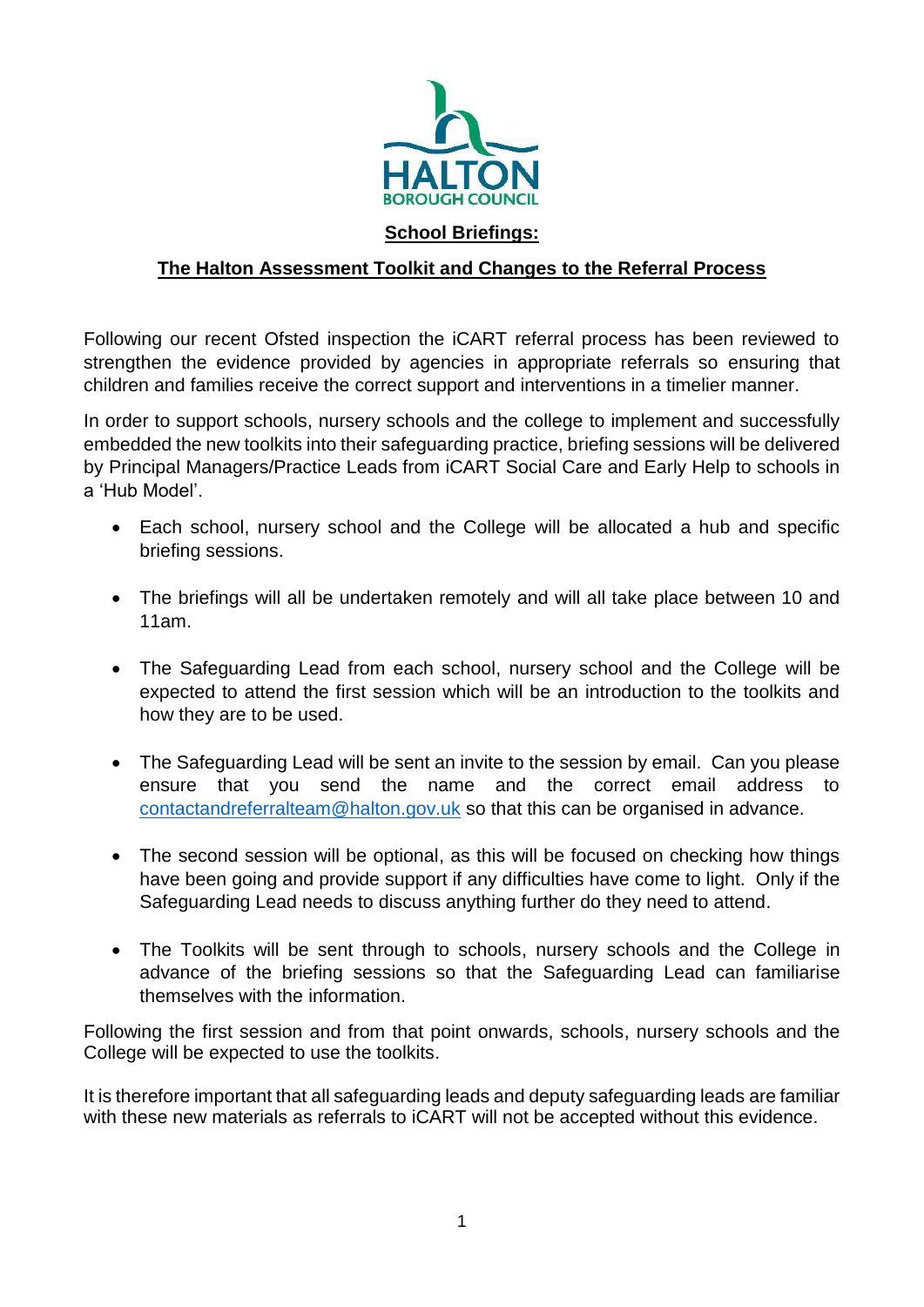

## **The Halton Assessment Toolkit and Changes to the Referral Process**

Following our recent Ofsted inspection the iCART referral process has been reviewed to strengthen the evidence provided by agencies in appropriate referrals so ensuring that children and families receive the correct support and interventions in a timelier manner.

In order to support schools, nursery schools and the college to implement and successfully embedded the new toolkits into their safeguarding practice, briefing sessions will be delivered by Principal Managers/Practice Leads from iCART Social Care and Early Help to schools in a 'Hub Model'.

- Each school, nursery school and the College will be allocated a hub and specific briefing sessions.
- The briefings will all be undertaken remotely and will all take place between 10 and 11am.
- The Safeguarding Lead from each school, nursery school and the College will be expected to attend the first session which will be an introduction to the toolkits and how they are to be used.
- The Safeguarding Lead will be sent an invite to the session by email. Can you please ensure that you send the name and the correct email address to [contactandreferralteam@halton.gov.uk](mailto:contactandreferralteam@halton.gov.uk) so that this can be organised in advance.
- The second session will be optional, as this will be focused on checking how things have been going and provide support if any difficulties have come to light. Only if the Safeguarding Lead needs to discuss anything further do they need to attend.
- The Toolkits will be sent through to schools, nursery schools and the College in advance of the briefing sessions so that the Safeguarding Lead can familiarise themselves with the information.

Following the first session and from that point onwards, schools, nursery schools and the College will be expected to use the toolkits.

It is therefore important that all safeguarding leads and deputy safeguarding leads are familiar with these new materials as referrals to iCART will not be accepted without this evidence.